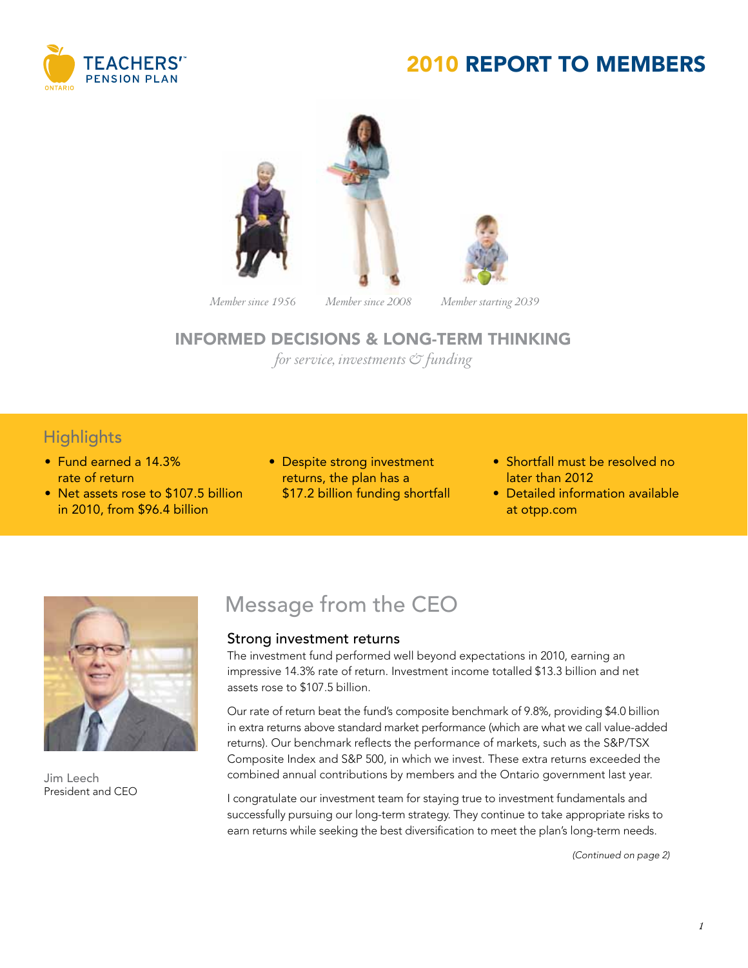

## 2010 REPORT TO MEMBERS





*Member since 1956 Member since 2008 Member starting 2039*

#### INFORMED DECISIONS & LONG-TERM THINKING

*for service, investments & funding*

### **Highlights**

- • Fund earned a 14.3% rate of return
- Net assets rose to \$107.5 billion in 2010, from \$96.4 billion
- Despite strong investment returns, the plan has a \$17.2 billion funding shortfall
- Shortfall must be resolved no later than 2012
- Detailed information available at otpp.com



Jim Leech President and CEO

## Message from the CEO

#### Strong investment returns

The investment fund performed well beyond expectations in 2010, earning an impressive 14.3% rate of return. Investment income totalled \$13.3 billion and net assets rose to \$107.5 billion.

Our rate of return beat the fund's composite benchmark of 9.8%, providing \$4.0 billion in extra returns above standard market performance (which are what we call value-added returns). Our benchmark reflects the performance of markets, such as the S&P/TSX Composite Index and S&P 500, in which we invest. These extra returns exceeded the combined annual contributions by members and the Ontario government last year.

I congratulate our investment team for staying true to investment fundamentals and successfully pursuing our long-term strategy. They continue to take appropriate risks to earn returns while seeking the best diversification to meet the plan's long-term needs.

*(Continued on page 2)*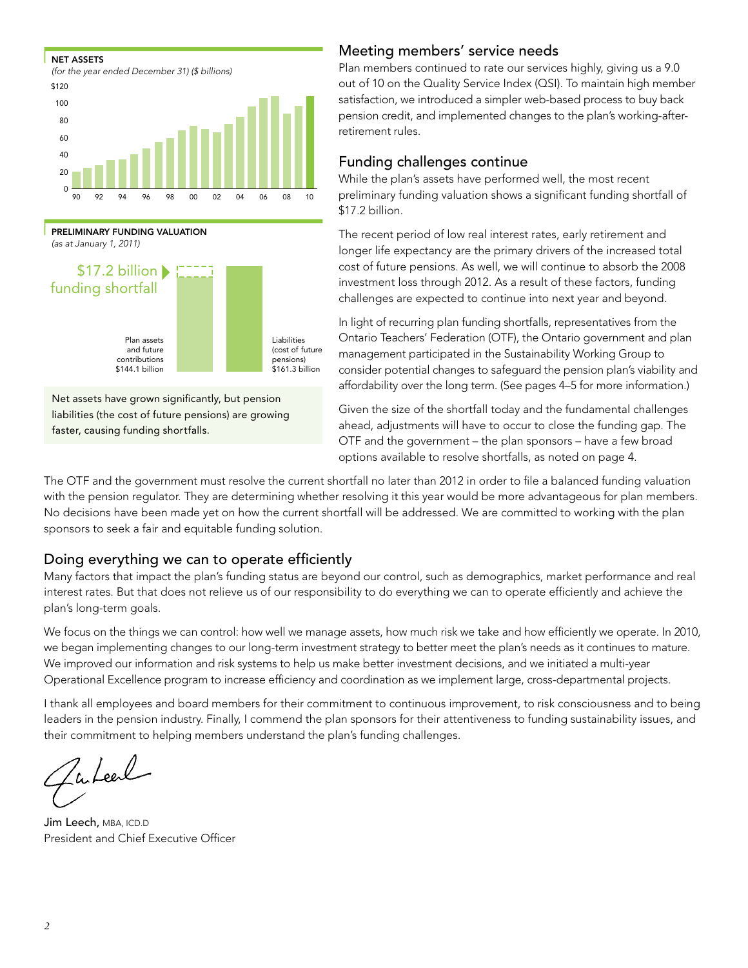



Net assets have grown significantly, but pension liabilities (the cost of future pensions) are growing faster, causing funding shortfalls.

#### Meeting members' service needs

Plan members continued to rate our services highly, giving us a 9.0 out of 10 on the Quality Service Index (QSI). To maintain high member satisfaction, we introduced a simpler web-based process to buy back pension credit, and implemented changes to the plan's working-after-

#### Funding challenges continue

While the plan's assets have performed well, the most recent preliminary funding valuation shows a significant funding shortfall of \$17.2 billion.

The recent period of low real interest rates, early retirement and longer life expectancy are the primary drivers of the increased total cost of future pensions. As well, we will continue to absorb the 2008 investment loss through 2012. As a result of these factors, funding challenges are expected to continue into next year and beyond.

In light of recurring plan funding shortfalls, representatives from the Ontario Teachers' Federation (OTF), the Ontario government and plan management participated in the Sustainability Working Group to consider potential changes to safeguard the pension plan's viability and affordability over the long term. (See pages 4–5 for more information.) 0

Given the size of the shortfall today and the fundamental challenges<br>
2 ahead, adjustments will have to occur to close the funding gap. The OTF and the government – the plan sponsors – have a few broad options available to resolve shortfalls, as noted on page 4.

The OTF and the government must resolve the current shortfall no later than 2012 in order to file a balanced funding valuation with the pension regulator. They are determining whether resolving it this year would be more advantageous for plan members. No decisions have been made yet on how the current shortfall will be addressed. We are committed to working with the plan sponsors to seek a fair and equitable funding solution.

#### Doing everything we can to operate efficiently

Many factors that impact the plan's funding status are beyond our control, such as demographics, market performance and real interest rates. But that does not relieve us of our responsibility to do everything we can to operate efficiently and achieve the plan's long-term goals.

We focus on the things we can control: how well we manage assets, how much risk we take and how efficiently we operate. In 2010, we began implementing changes to our long-term investment strategy to better meet the plan's needs as it continues to mature. We improved our information and risk systems to help us make better investment decisions, and we initiated a multi-year Operational Excellence program to increase efficiency and coordination as we implement large, cross-departmental projects.

I thank all employees and board members for their commitment to continuous improvement, to risk consciousness and to being leaders in the pension industry. Finally, I commend the plan sponsors for their attentiveness to funding sustainability issues, and their commitment to helping members understand the plan's funding challenges.

wheel

Jim Leech, MBA, ICD.D President and Chief Executive Officer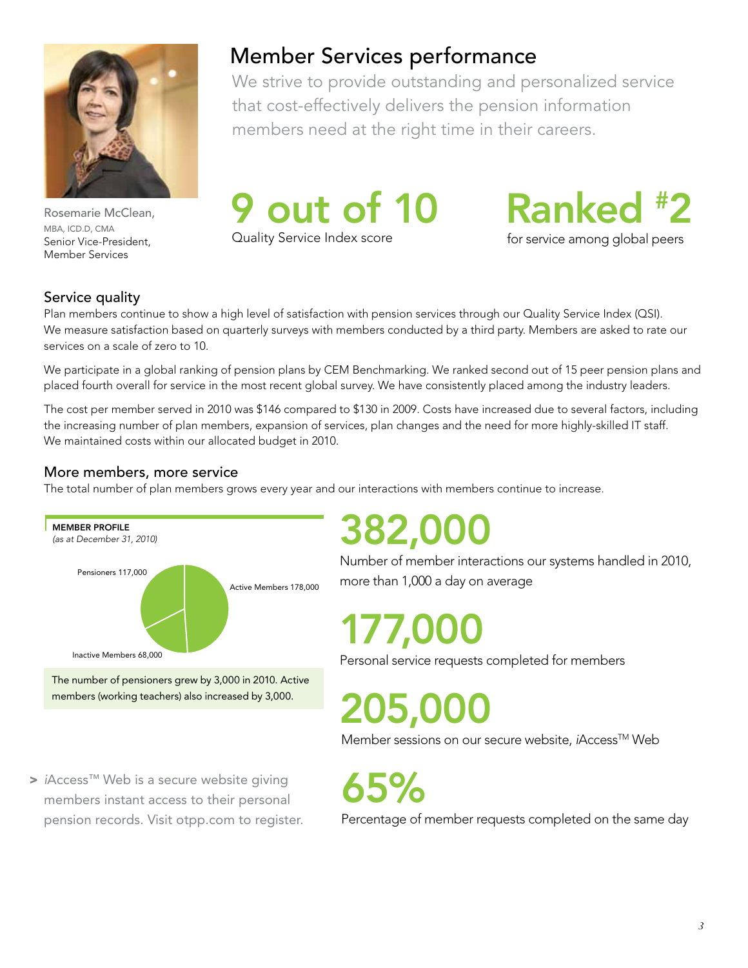

Rosemarie McClean, MBA, ICD.D, CMA Senior Vice-President, Member Services

## Member Services performance

We strive to provide outstanding and personalized service that cost-effectively delivers the pension information members need at the right time in their careers.



Quality Service Index score

Ranked # 2

for service among global peers

#### Service quality

Plan members continue to show a high level of satisfaction with pension services through our Quality Service Index (QSI). We measure satisfaction based on quarterly surveys with members conducted by a third party. Members are asked to rate our services on a scale of zero to 10.

We participate in a global ranking of pension plans by CEM Benchmarking. We ranked second out of 15 peer pension plans and placed fourth overall for service in the most recent global survey. We have consistently placed among the industry leaders.

The cost per member served in 2010 was \$146 compared to \$130 in 2009. Costs have increased due to several factors, including the increasing number of plan members, expansion of services, plan changes and the need for more highly-skilled IT staff. We maintained costs within our allocated budget in 2010.

#### More members, more service

The total number of plan members grows every year and our interactions with members continue to increase.



members (working teachers) also increased by 3,000.

> *i*Access™ Web is a secure website giving members instant access to their personal pension records. Visit otpp.com to register.

## 382,000

Number of member interactions our systems handled in 2010, more than 1,000 a day on average

## 177,000

Personal service requests completed for members

205,000

Member sessions on our secure website, *iAccess<sup>™</sup>* Web

65%

Percentage of member requests completed on the same day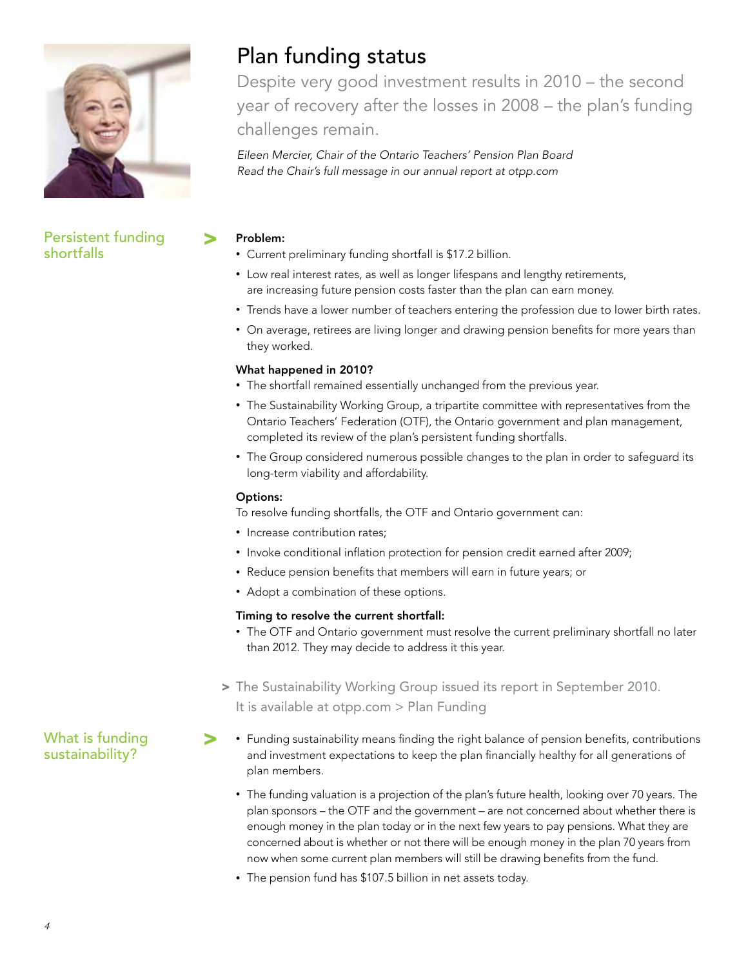

Persistent funding shortfalls

## Plan funding status

Despite very good investment results in 2010 – the second year of recovery after the losses in 2008 – the plan's funding challenges remain.

*Eileen Mercier, Chair of the Ontario Teachers' Pension Plan Board Read the Chair's full message in our annual report at otpp.com*

#### Problem: >

- Current preliminary funding shortfall is \$17.2 billion.
- Low real interest rates, as well as longer lifespans and lengthy retirements, are increasing future pension costs faster than the plan can earn money.
- Trends have a lower number of teachers entering the profession due to lower birth rates.
- On average, retirees are living longer and drawing pension benefits for more years than they worked.

#### What happened in 2010?

- The shortfall remained essentially unchanged from the previous year.
- The Sustainability Working Group, a tripartite committee with representatives from the Ontario Teachers' Federation (OTF), the Ontario government and plan management, completed its review of the plan's persistent funding shortfalls.
- The Group considered numerous possible changes to the plan in order to safeguard its long-term viability and affordability.

#### Options:

To resolve funding shortfalls, the OTF and Ontario government can:

- Increase contribution rates;
- Invoke conditional inflation protection for pension credit earned after 2009;
- Reduce pension benefits that members will earn in future years; or
- Adopt a combination of these options.

#### Timing to resolve the current shortfall:

- The OTF and Ontario government must resolve the current preliminary shortfall no later than 2012. They may decide to address it this year.
- > The Sustainability Working Group issued its report in September 2010. It is available at otpp.com > Plan Funding
- Funding sustainability means finding the right balance of pension benefits, contributions and investment expectations to keep the plan financially healthy for all generations of plan members. >
	- The funding valuation is a projection of the plan's future health, looking over 70 years. The plan sponsors – the OTF and the government – are not concerned about whether there is enough money in the plan today or in the next few years to pay pensions. What they are concerned about is whether or not there will be enough money in the plan 70 years from now when some current plan members will still be drawing benefits from the fund.
	- The pension fund has \$107.5 billion in net assets today.

What is funding sustainability?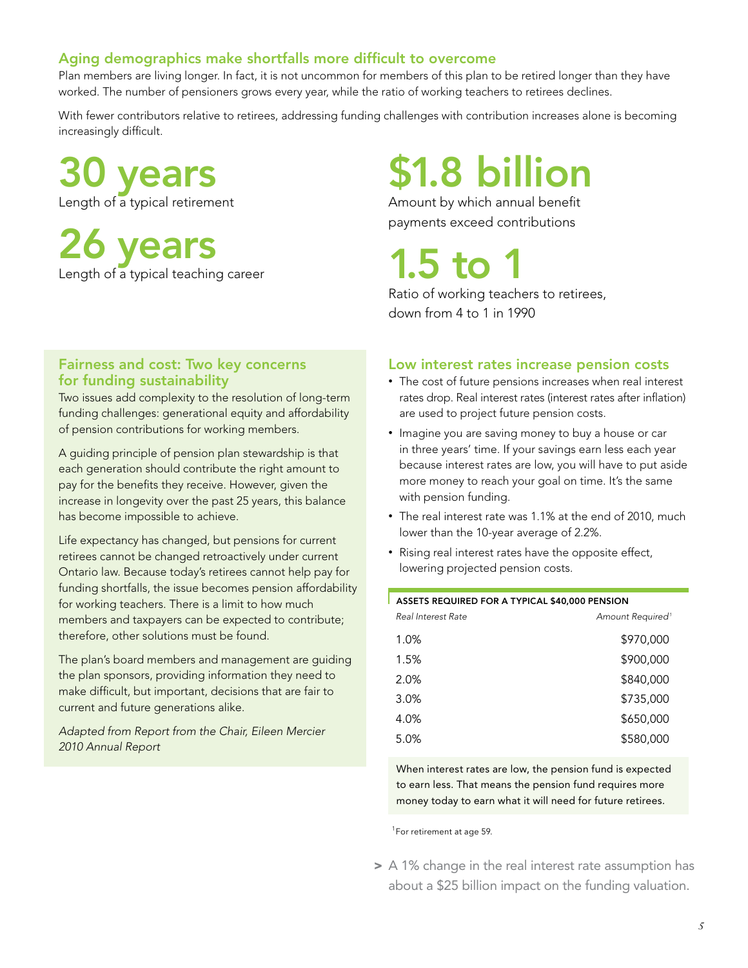#### Aging demographics make shortfalls more difficult to overcome

Plan members are living longer. In fact, it is not uncommon for members of this plan to be retired longer than they have worked. The number of pensioners grows every year, while the ratio of working teachers to retirees declines.

With fewer contributors relative to retirees, addressing funding challenges with contribution increases alone is becoming increasingly difficult.

30 years Length of a typical retirement

26 years Length of a typical teaching career

#### Fairness and cost: Two key concerns for funding sustainability

Two issues add complexity to the resolution of long-term funding challenges: generational equity and affordability of pension contributions for working members.

A guiding principle of pension plan stewardship is that each generation should contribute the right amount to pay for the benefits they receive. However, given the increase in longevity over the past 25 years, this balance has become impossible to achieve.

Life expectancy has changed, but pensions for current retirees cannot be changed retroactively under current Ontario law. Because today's retirees cannot help pay for funding shortfalls, the issue becomes pension affordability for working teachers. There is a limit to how much members and taxpayers can be expected to contribute; therefore, other solutions must be found.

The plan's board members and management are guiding the plan sponsors, providing information they need to make difficult, but important, decisions that are fair to current and future generations alike.

*Adapted from Report from the Chair, Eileen Mercier 2010 Annual Report*

# \$1.8 billion

Amount by which annual benefit payments exceed contributions

## 1.5 to  $1$

Ratio of working teachers to retirees, down from 4 to 1 in 1990

#### Low interest rates increase pension costs

- The cost of future pensions increases when real interest rates drop. Real interest rates (interest rates after inflation) are used to project future pension costs.
- Imagine you are saving money to buy a house or car in three years' time. If your savings earn less each year because interest rates are low, you will have to put aside more money to reach your goal on time. It's the same with pension funding.
- The real interest rate was 1.1% at the end of 2010, much lower than the 10-year average of 2.2%.
- Rising real interest rates have the opposite effect, lowering projected pension costs.

| ASSETS REQUIRED FOR A TYPICAL \$40,000 PENSION |                              |  |  |  |
|------------------------------------------------|------------------------------|--|--|--|
| Real Interest Rate                             | Amount Required <sup>1</sup> |  |  |  |
| 1.0%                                           | \$970,000                    |  |  |  |
| 1.5%                                           | \$900,000                    |  |  |  |
| 2.0%                                           | \$840,000                    |  |  |  |
| 3.0%                                           | \$735,000                    |  |  |  |
| 4.0%                                           | \$650,000                    |  |  |  |
| 5.0%                                           | \$580,000                    |  |  |  |

When interest rates are low, the pension fund is expected to earn less. That means the pension fund requires more money today to earn what it will need for future retirees.

<sup>1</sup> For retirement at age 59.

> A 1% change in the real interest rate assumption has about a \$25 billion impact on the funding valuation.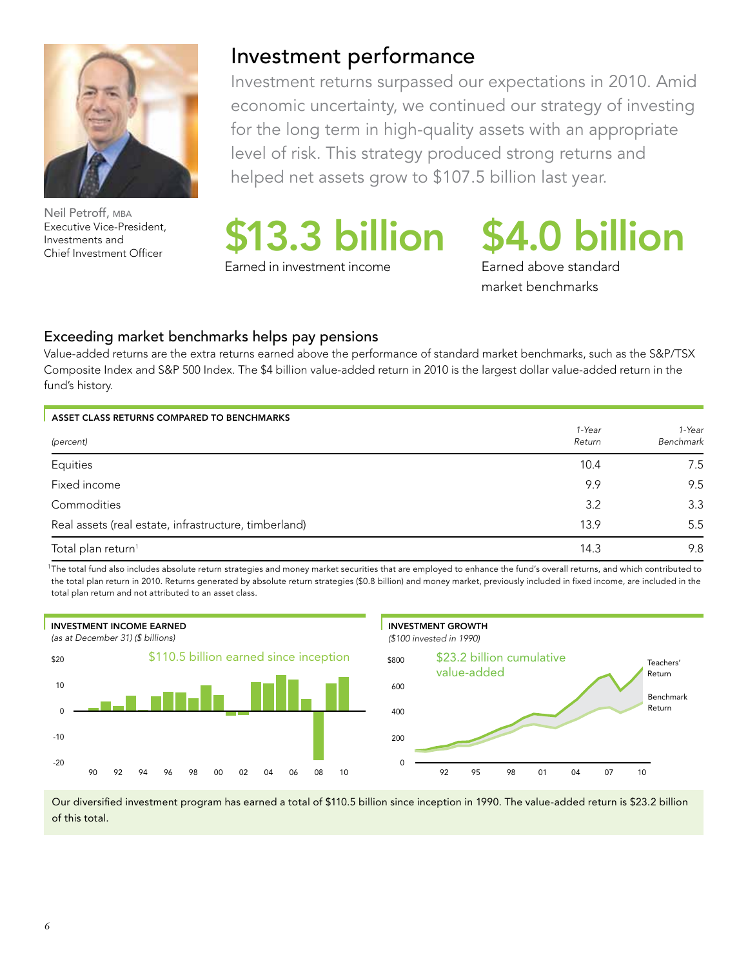

Neil Petroff, MBA Executive Vice-President, Investments and

### Investment performance

Investment returns surpassed our expectations in 2010. Amid economic uncertainty, we continued our strategy of investing for the long term in high-quality assets with an appropriate level of risk. This strategy produced strong returns and helped net assets grow to \$107.5 billion last year.

Executive Vice-President,<br>Investments and S13.3 billion \$4.0 billion

Earned in investment income

Earned above standard market benchmarks

#### Exceeding market benchmarks helps pay pensions

Value-added returns are the extra returns earned above the performance of standard market benchmarks, such as the S&P/TSX Composite Index and S&P 500 Index. The \$4 billion value-added return in 2010 is the largest dollar value-added return in the fund's history.

| ASSET CLASS RETURNS COMPARED TO BENCHMARKS            |                  |                     |
|-------------------------------------------------------|------------------|---------------------|
| (percent)                                             | 1-Year<br>Return | 1-Year<br>Benchmark |
| Equities                                              | 10.4             | 7.5                 |
| Fixed income                                          | 9.9              | 9.5                 |
| Commodities                                           | 3.2              | 3.3                 |
| Real assets (real estate, infrastructure, timberland) | 13.9             | 5.5                 |
| Total plan return <sup>1</sup>                        | 14.3             | 9.8                 |

1 The total fund also includes absolute return strategies and money market securities that are employed to enhance the fund's overall returns, and which contributed to the total plan return in 2010. Returns generated by absolute return strategies (\$0.8 billion) and money market, previously included in fixed income, are included in the total plan return and not attributed to an asset class.



Our diversified investment program has earned a total of \$110.5 billion since inception in 1990. The value-added return is \$23.2 billion of this total.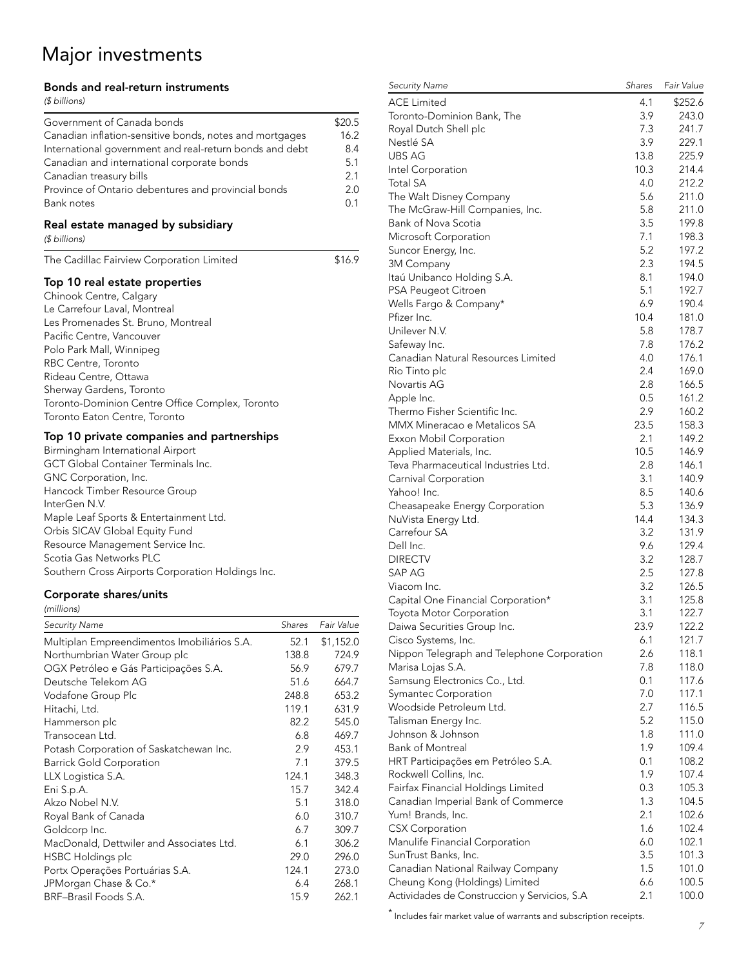## Major investments

#### Bonds and real-return instruments

#### *(\$ billions)*

| $0$ $\mu$ $\mu$ $\mu$ $\mu$ $\mu$                                                                                                                                                                                                                                                                                                                                                               |                                         |                                                   |
|-------------------------------------------------------------------------------------------------------------------------------------------------------------------------------------------------------------------------------------------------------------------------------------------------------------------------------------------------------------------------------------------------|-----------------------------------------|---------------------------------------------------|
| Government of Canada bonds<br>Canadian inflation-sensitive bonds, notes and mortgages<br>International government and real-return bonds and debt<br>Canadian and international corporate bonds<br>Canadian treasury bills<br>Province of Ontario debentures and provincial bonds<br><b>Bank notes</b>                                                                                           |                                         | \$20.5<br>16.2<br>8.4<br>5.1<br>2.1<br>2.0<br>0.1 |
| Real estate managed by subsidiary<br>(\$ billions)                                                                                                                                                                                                                                                                                                                                              |                                         |                                                   |
| The Cadillac Fairview Corporation Limited                                                                                                                                                                                                                                                                                                                                                       |                                         | \$16.9                                            |
| Top 10 real estate properties<br>Chinook Centre, Calgary<br>Le Carrefour Laval, Montreal<br>Les Promenades St. Bruno, Montreal<br>Pacific Centre, Vancouver<br>Polo Park Mall, Winnipeg<br>RBC Centre, Toronto<br>Rideau Centre, Ottawa<br>Sherway Gardens, Toronto<br>Toronto-Dominion Centre Office Complex, Toronto<br>Toronto Eaton Centre, Toronto                                         |                                         |                                                   |
| Top 10 private companies and partnerships<br>Birmingham International Airport<br>GCT Global Container Terminals Inc.<br>GNC Corporation, Inc.<br>Hancock Timber Resource Group<br>InterGen N.V.<br>Maple Leaf Sports & Entertainment Ltd.<br>Orbis SICAV Global Equity Fund<br>Resource Management Service Inc.<br>Scotia Gas Networks PLC<br>Southern Cross Airports Corporation Holdings Inc. |                                         |                                                   |
| Corporate shares/units<br>(millions)                                                                                                                                                                                                                                                                                                                                                            |                                         |                                                   |
| <b>Security Name</b>                                                                                                                                                                                                                                                                                                                                                                            | Shares                                  | Fair Value                                        |
| Multiplan Empreendimentos Imobiliários S.A.                                                                                                                                                                                                                                                                                                                                                     | 52.1                                    | \$1,152.0                                         |
| Northumbrian Water Group plc<br>OGX Petróleo e Gás Participações S.A.<br>Deutsche Telekom AG<br>Vodafone Group Plc<br>Hitachi, Ltd.                                                                                                                                                                                                                                                             | 138.8<br>56.9<br>51.6<br>248.8<br>119.1 | 724.9<br>679.7<br>664.7<br>653.2<br>631.9         |
| Hammerson plc                                                                                                                                                                                                                                                                                                                                                                                   | 82.2                                    | 545.0                                             |

Transocean Ltd. 6.8 469.7 Potash Corporation of Saskatchewan Inc. 2.9 453.1 Barrick Gold Corporation 7.1 379.5 LLX Logistica S.A. 124.1 348.3 Eni S.p.A. 15.7 342.4 Akzo Nobel N.V. 5.1 318.0 Royal Bank of Canada 6.0 310.7 Goldcorp Inc. 6.7 309.7 MacDonald, Dettwiler and Associates Ltd. 6.1 306.2 HSBC Holdings plc 29.0 296.0 Portx Operações Portuárias S.A. 124.1 273.0 JPMorgan Chase & Co.\* 6.4 268.1 BRF–Brasil Foods S.A. 15.9 262.1

| <b>ACE Limited</b>                           | 4.1         | \$252.6 |
|----------------------------------------------|-------------|---------|
| Toronto-Dominion Bank, The                   | 3.9         | 243.0   |
| Royal Dutch Shell plc                        | 7.3         | 241.7   |
| Nestlé SA                                    | 3.9         | 229.1   |
| UBS AG                                       | 13.8        | 225.9   |
| Intel Corporation                            | 10.3        | 214.4   |
| <b>Total SA</b>                              | 4.0         | 212.2   |
| The Walt Disney Company                      | 5.6         | 211.0   |
| The McGraw-Hill Companies, Inc.              | 5.8         | 211.0   |
| <b>Bank of Nova Scotia</b>                   | 3.5         | 199.8   |
| Microsoft Corporation                        | 7.1         | 198.3   |
| Suncor Energy, Inc.                          | 5.2         | 197.2   |
| 3M Company                                   | 2.3         | 194.5   |
| Itaú Unibanco Holding S.A.                   | 8.1         | 194.0   |
| PSA Peugeot Citroen                          | 5.1         | 192.7   |
| Wells Fargo & Company*                       | 6.9         | 190.4   |
| Pfizer Inc.                                  | 10.4        | 181.0   |
| Unilever N.V.                                | 5.8         | 178.7   |
| Safeway Inc.                                 | 7.8         | 176.2   |
| Canadian Natural Resources Limited           | 4.0         | 176.1   |
| Rio Tinto plc                                | 2.4         | 169.0   |
| Novartis AG                                  | 2.8         | 166.5   |
| Apple Inc.                                   | 0.5         | 161.2   |
| Thermo Fisher Scientific Inc.                | 2.9         | 160.2   |
| MMX Mineracao e Metalicos SA                 | 23.5        | 158.3   |
|                                              | 2.1         |         |
| Exxon Mobil Corporation                      |             | 149.2   |
| Applied Materials, Inc.                      | 10.5<br>2.8 | 146.9   |
| Teva Pharmaceutical Industries Ltd.          |             | 146.1   |
| Carnival Corporation                         | 3.1         | 140.9   |
| Yahoo! Inc.                                  | 8.5         | 140.6   |
| Cheasapeake Energy Corporation               | 5.3         | 136.9   |
| NuVista Energy Ltd.                          | 14.4        | 134.3   |
| Carrefour SA                                 | 3.2         | 131.9   |
| Dell Inc.                                    | 9.6         | 129.4   |
| <b>DIRECTV</b>                               | 3.2         | 128.7   |
| SAP AG                                       | 2.5         | 127.8   |
| Viacom Inc.                                  | 3.2         | 126.5   |
| Capital One Financial Corporation*           | 3.1         | 125.8   |
| Toyota Motor Corporation                     | 3.1         | 122.7   |
| Daiwa Securities Group Inc.                  | 23.9        | 122.2   |
| Cisco Systems, Inc.                          | 6.1         | 121.7   |
| Nippon Telegraph and Telephone Corporation   | 2.6         | 118.1   |
| Marisa Lojas S.A.                            | 7.8         | 118.0   |
| Samsung Electronics Co., Ltd.                | 0.1         | 117.6   |
| Symantec Corporation                         | 7.0         | 117.1   |
| Woodside Petroleum Ltd.                      | 2.7         | 116.5   |
| Talisman Energy Inc.                         | 5.2         | 115.0   |
| Johnson & Johnson                            | 1.8         | 111.0   |
| <b>Bank of Montreal</b>                      | 1.9         | 109.4   |
| HRT Participações em Petróleo S.A.           | 0.1         | 108.2   |
| Rockwell Collins, Inc.                       | 1.9         | 107.4   |
| Fairfax Financial Holdings Limited           | 0.3         | 105.3   |
| Canadian Imperial Bank of Commerce           | 1.3         | 104.5   |
| Yum! Brands, Inc.                            | 2.1         | 102.6   |
| <b>CSX Corporation</b>                       | 1.6         | 102.4   |
| Manulife Financial Corporation               | 6.0         | 102.1   |
| SunTrust Banks, Inc.                         | 3.5         | 101.3   |
| Canadian National Railway Company            | 1.5         | 101.0   |
| Cheung Kong (Holdings) Limited               | 6.6         | 100.5   |
| Actividades de Construccion y Servicios, S.A | 2.1         | 100.0   |

*Security Name Shares Fair Value*

 *7* \* Includes fair market value of warrants and subscription receipts.